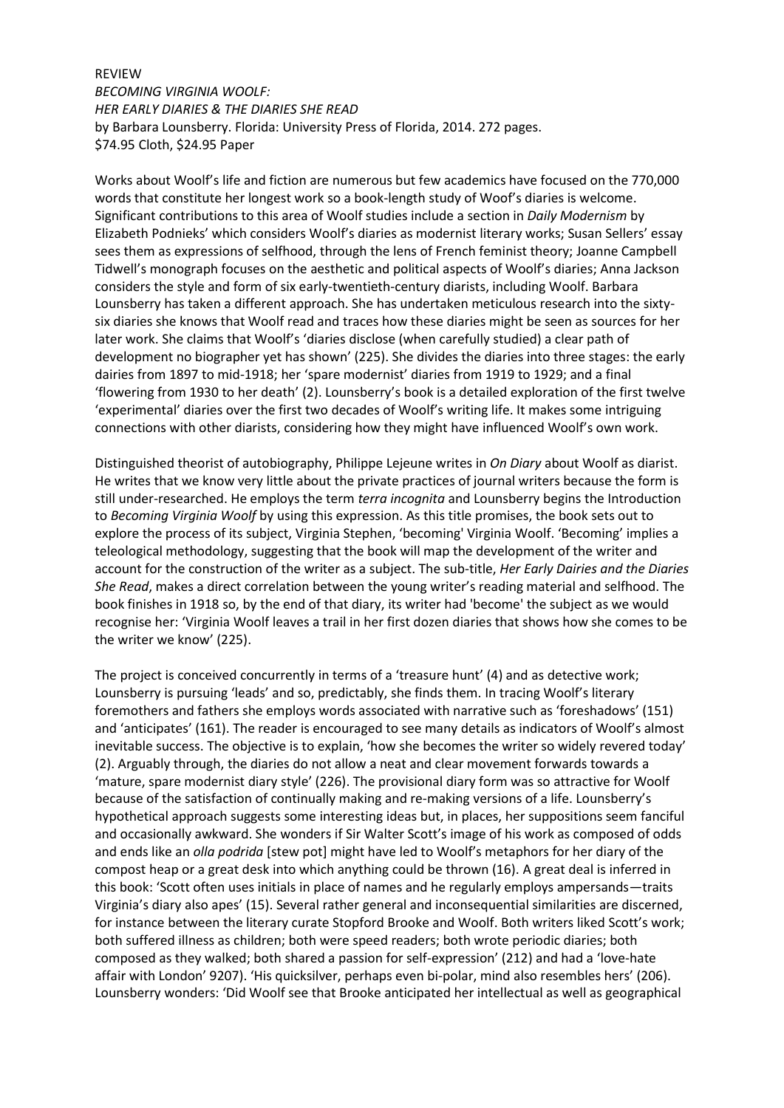## REVIEW

*BECOMING VIRGINIA WOOLF: HER EARLY DIARIES & THE DIARIES SHE READ* by Barbara Lounsberry. Florida: University Press of Florida, 2014. 272 pages. \$74.95 Cloth, \$24.95 Paper

Works about Woolf's life and fiction are numerous but few academics have focused on the 770,000 words that constitute her longest work so a book-length study of Woof's diaries is welcome. Significant contributions to this area of Woolf studies include a section in *Daily Modernism* by Elizabeth Podnieks' which considers Woolf's diaries as modernist literary works; Susan Sellers' essay sees them as expressions of selfhood, through the lens of French feminist theory; Joanne Campbell Tidwell's monograph focuses on the aesthetic and political aspects of Woolf's diaries; Anna Jackson considers the style and form of six early-twentieth-century diarists, including Woolf. Barbara Lounsberry has taken a different approach. She has undertaken meticulous research into the sixtysix diaries she knows that Woolf read and traces how these diaries might be seen as sources for her later work. She claims that Woolf's 'diaries disclose (when carefully studied) a clear path of development no biographer yet has shown' (225). She divides the diaries into three stages: the early dairies from 1897 to mid-1918; her 'spare modernist' diaries from 1919 to 1929; and a final 'flowering from 1930 to her death' (2). Lounsberry's book is a detailed exploration of the first twelve 'experimental' diaries over the first two decades of Woolf's writing life. It makes some intriguing connections with other diarists, considering how they might have influenced Woolf's own work.

Distinguished theorist of autobiography, Philippe Lejeune writes in *On Diary* about Woolf as diarist. He writes that we know very little about the private practices of journal writers because the form is still under-researched. He employs the term *terra incognita* and Lounsberry begins the Introduction to *Becoming Virginia Woolf* by using this expression. As this title promises, the book sets out to explore the process of its subject, Virginia Stephen, 'becoming' Virginia Woolf. 'Becoming' implies a teleological methodology, suggesting that the book will map the development of the writer and account for the construction of the writer as a subject. The sub-title, *Her Early Dairies and the Diaries She Read*, makes a direct correlation between the young writer's reading material and selfhood. The book finishes in 1918 so, by the end of that diary, its writer had 'become' the subject as we would recognise her: 'Virginia Woolf leaves a trail in her first dozen diaries that shows how she comes to be the writer we know' (225).

The project is conceived concurrently in terms of a 'treasure hunt' (4) and as detective work; Lounsberry is pursuing 'leads' and so, predictably, she finds them. In tracing Woolf's literary foremothers and fathers she employs words associated with narrative such as 'foreshadows' (151) and 'anticipates' (161). The reader is encouraged to see many details as indicators of Woolf's almost inevitable success. The objective is to explain, 'how she becomes the writer so widely revered today' (2). Arguably through, the diaries do not allow a neat and clear movement forwards towards a 'mature, spare modernist diary style' (226). The provisional diary form was so attractive for Woolf because of the satisfaction of continually making and re-making versions of a life. Lounsberry's hypothetical approach suggests some interesting ideas but, in places, her suppositions seem fanciful and occasionally awkward. She wonders if Sir Walter Scott's image of his work as composed of odds and ends like an *olla podrida* [stew pot] might have led to Woolf's metaphors for her diary of the compost heap or a great desk into which anything could be thrown (16). A great deal is inferred in this book: 'Scott often uses initials in place of names and he regularly employs ampersands—traits Virginia's diary also apes' (15). Several rather general and inconsequential similarities are discerned, for instance between the literary curate Stopford Brooke and Woolf. Both writers liked Scott's work; both suffered illness as children; both were speed readers; both wrote periodic diaries; both composed as they walked; both shared a passion for self-expression' (212) and had a 'love-hate affair with London' 9207). 'His quicksilver, perhaps even bi-polar, mind also resembles hers' (206). Lounsberry wonders: 'Did Woolf see that Brooke anticipated her intellectual as well as geographical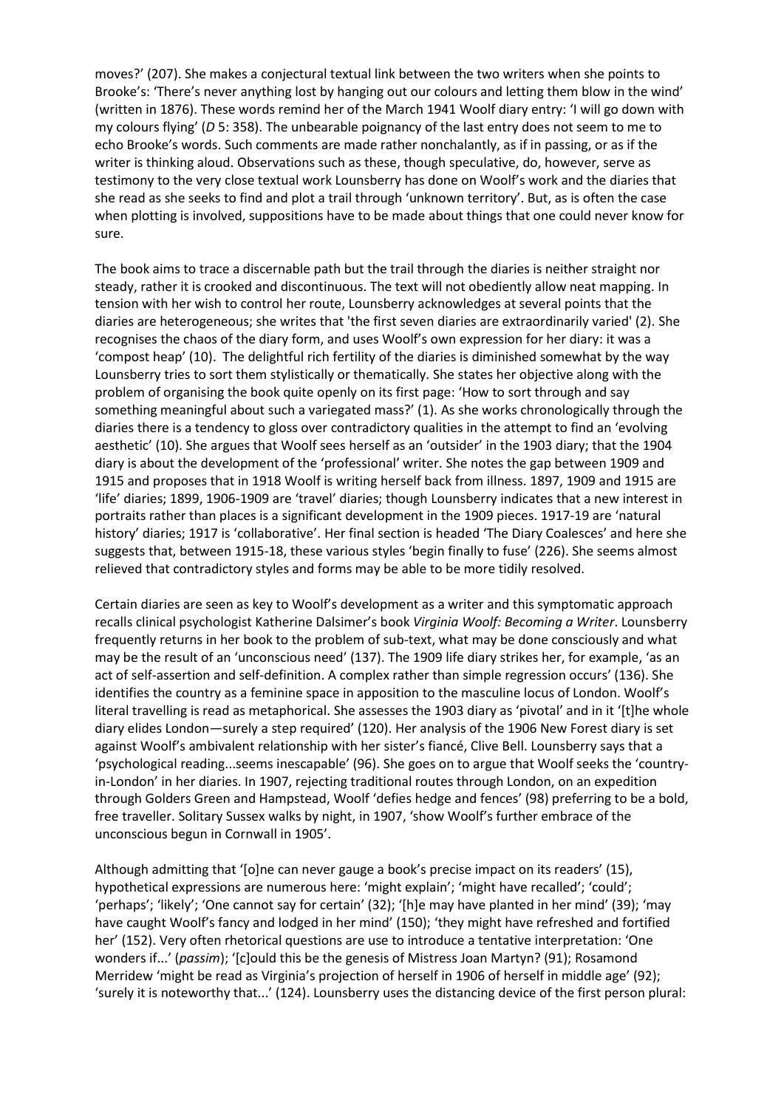moves?' (207). She makes a conjectural textual link between the two writers when she points to Brooke's: 'There's never anything lost by hanging out our colours and letting them blow in the wind' (written in 1876). These words remind her of the March 1941 Woolf diary entry: 'I will go down with my colours flying' (*D* 5: 358). The unbearable poignancy of the last entry does not seem to me to echo Brooke's words. Such comments are made rather nonchalantly, as if in passing, or as if the writer is thinking aloud. Observations such as these, though speculative, do, however, serve as testimony to the very close textual work Lounsberry has done on Woolf's work and the diaries that she read as she seeks to find and plot a trail through 'unknown territory'. But, as is often the case when plotting is involved, suppositions have to be made about things that one could never know for sure.

The book aims to trace a discernable path but the trail through the diaries is neither straight nor steady, rather it is crooked and discontinuous. The text will not obediently allow neat mapping. In tension with her wish to control her route, Lounsberry acknowledges at several points that the diaries are heterogeneous; she writes that 'the first seven diaries are extraordinarily varied' (2). She recognises the chaos of the diary form, and uses Woolf's own expression for her diary: it was a 'compost heap' (10). The delightful rich fertility of the diaries is diminished somewhat by the way Lounsberry tries to sort them stylistically or thematically. She states her objective along with the problem of organising the book quite openly on its first page: 'How to sort through and say something meaningful about such a variegated mass?' (1). As she works chronologically through the diaries there is a tendency to gloss over contradictory qualities in the attempt to find an 'evolving aesthetic' (10). She argues that Woolf sees herself as an 'outsider' in the 1903 diary; that the 1904 diary is about the development of the 'professional' writer. She notes the gap between 1909 and 1915 and proposes that in 1918 Woolf is writing herself back from illness. 1897, 1909 and 1915 are 'life' diaries; 1899, 1906-1909 are 'travel' diaries; though Lounsberry indicates that a new interest in portraits rather than places is a significant development in the 1909 pieces. 1917-19 are 'natural history' diaries; 1917 is 'collaborative'. Her final section is headed 'The Diary Coalesces' and here she suggests that, between 1915-18, these various styles 'begin finally to fuse' (226). She seems almost relieved that contradictory styles and forms may be able to be more tidily resolved.

Certain diaries are seen as key to Woolf's development as a writer and this symptomatic approach recalls clinical psychologist Katherine Dalsimer's book *Virginia Woolf: Becoming a Writer*. Lounsberry frequently returns in her book to the problem of sub-text, what may be done consciously and what may be the result of an 'unconscious need' (137). The 1909 life diary strikes her, for example, 'as an act of self-assertion and self-definition. A complex rather than simple regression occurs' (136). She identifies the country as a feminine space in apposition to the masculine locus of London. Woolf's literal travelling is read as metaphorical. She assesses the 1903 diary as 'pivotal' and in it '[t]he whole diary elides London—surely a step required' (120). Her analysis of the 1906 New Forest diary is set against Woolf's ambivalent relationship with her sister's fiancé, Clive Bell. Lounsberry says that a 'psychological reading...seems inescapable' (96). She goes on to argue that Woolf seeks the 'countryin-London' in her diaries. In 1907, rejecting traditional routes through London, on an expedition through Golders Green and Hampstead, Woolf 'defies hedge and fences' (98) preferring to be a bold, free traveller. Solitary Sussex walks by night, in 1907, 'show Woolf's further embrace of the unconscious begun in Cornwall in 1905'.

Although admitting that '[o]ne can never gauge a book's precise impact on its readers' (15), hypothetical expressions are numerous here: 'might explain'; 'might have recalled'; 'could'; 'perhaps'; 'likely'; 'One cannot say for certain' (32); '[h]e may have planted in her mind' (39); 'may have caught Woolf's fancy and lodged in her mind' (150); 'they might have refreshed and fortified her' (152). Very often rhetorical questions are use to introduce a tentative interpretation: 'One wonders if...' (*passim*); '[c]ould this be the genesis of Mistress Joan Martyn? (91); Rosamond Merridew 'might be read as Virginia's projection of herself in 1906 of herself in middle age' (92); 'surely it is noteworthy that...' (124). Lounsberry uses the distancing device of the first person plural: